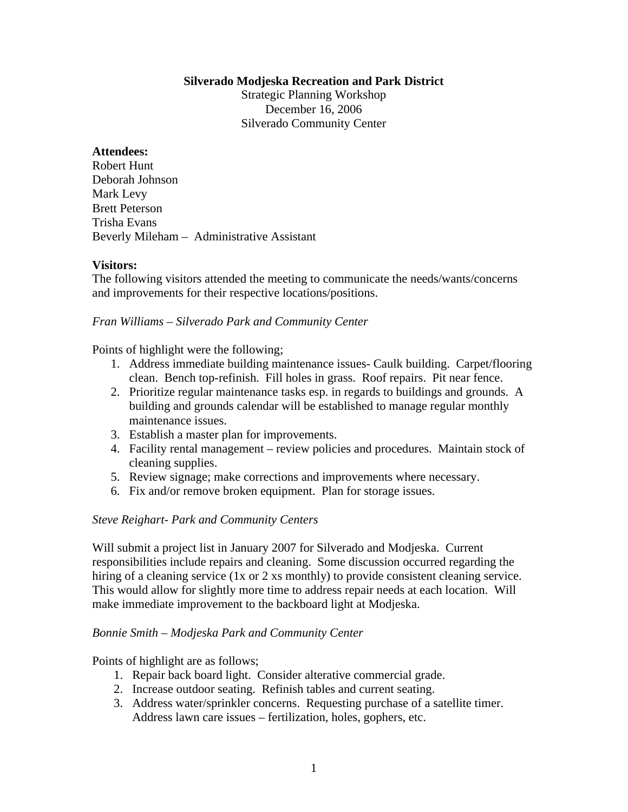### **Silverado Modjeska Recreation and Park District**

Strategic Planning Workshop December 16, 2006 Silverado Community Center

# **Attendees:**

Robert Hunt Deborah Johnson Mark Levy Brett Peterson Trisha Evans Beverly Mileham – Administrative Assistant

### **Visitors:**

The following visitors attended the meeting to communicate the needs/wants/concerns and improvements for their respective locations/positions.

### *Fran Williams – Silverado Park and Community Center*

Points of highlight were the following;

- 1. Address immediate building maintenance issues- Caulk building. Carpet/flooring clean. Bench top-refinish. Fill holes in grass. Roof repairs. Pit near fence.
- 2. Prioritize regular maintenance tasks esp. in regards to buildings and grounds. A building and grounds calendar will be established to manage regular monthly maintenance issues.
- 3. Establish a master plan for improvements.
- 4. Facility rental management review policies and procedures. Maintain stock of cleaning supplies.
- 5. Review signage; make corrections and improvements where necessary.
- 6. Fix and/or remove broken equipment. Plan for storage issues.

# *Steve Reighart- Park and Community Centers*

Will submit a project list in January 2007 for Silverado and Modjeska. Current responsibilities include repairs and cleaning. Some discussion occurred regarding the hiring of a cleaning service (1x or 2 xs monthly) to provide consistent cleaning service. This would allow for slightly more time to address repair needs at each location. Will make immediate improvement to the backboard light at Modjeska.

#### *Bonnie Smith – Modjeska Park and Community Center*

Points of highlight are as follows;

- 1. Repair back board light. Consider alterative commercial grade.
- 2. Increase outdoor seating. Refinish tables and current seating.
- 3. Address water/sprinkler concerns. Requesting purchase of a satellite timer. Address lawn care issues – fertilization, holes, gophers, etc.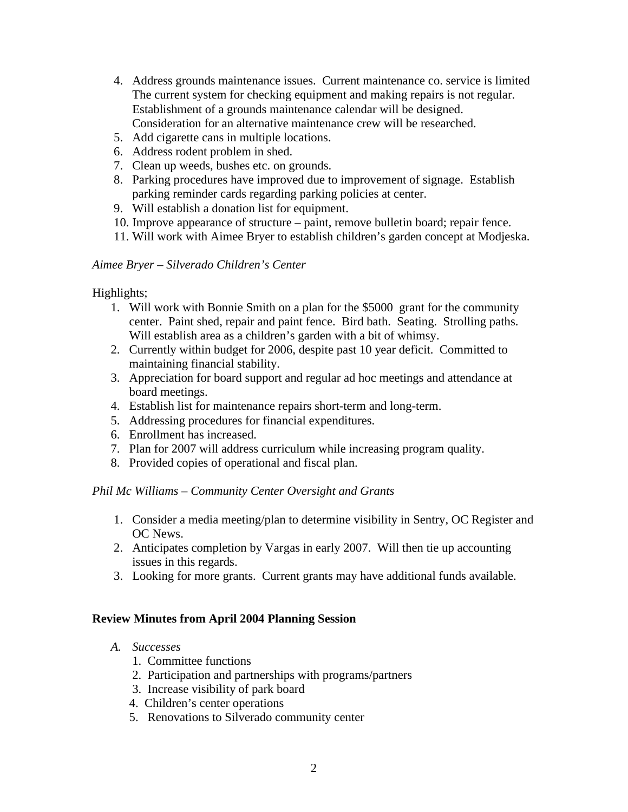- 4. Address grounds maintenance issues. Current maintenance co. service is limited The current system for checking equipment and making repairs is not regular. Establishment of a grounds maintenance calendar will be designed. Consideration for an alternative maintenance crew will be researched.
- 5. Add cigarette cans in multiple locations.
- 6. Address rodent problem in shed.
- 7. Clean up weeds, bushes etc. on grounds.
- 8. Parking procedures have improved due to improvement of signage. Establish parking reminder cards regarding parking policies at center.
- 9. Will establish a donation list for equipment.
- 10. Improve appearance of structure paint, remove bulletin board; repair fence.
- 11. Will work with Aimee Bryer to establish children's garden concept at Modjeska.

# *Aimee Bryer – Silverado Children's Center*

Highlights;

- 1. Will work with Bonnie Smith on a plan for the \$5000 grant for the community center. Paint shed, repair and paint fence. Bird bath. Seating. Strolling paths. Will establish area as a children's garden with a bit of whimsy.
- 2. Currently within budget for 2006, despite past 10 year deficit. Committed to maintaining financial stability.
- 3. Appreciation for board support and regular ad hoc meetings and attendance at board meetings.
- 4. Establish list for maintenance repairs short-term and long-term.
- 5. Addressing procedures for financial expenditures.
- 6. Enrollment has increased.
- 7. Plan for 2007 will address curriculum while increasing program quality.
- 8. Provided copies of operational and fiscal plan.

# *Phil Mc Williams – Community Center Oversight and Grants*

- 1. Consider a media meeting/plan to determine visibility in Sentry, OC Register and OC News.
- 2. Anticipates completion by Vargas in early 2007. Will then tie up accounting issues in this regards.
- 3. Looking for more grants. Current grants may have additional funds available.

# **Review Minutes from April 2004 Planning Session**

- *A. Successes*
	- 1. Committee functions
	- 2. Participation and partnerships with programs/partners
	- 3. Increase visibility of park board
	- 4. Children's center operations
	- 5. Renovations to Silverado community center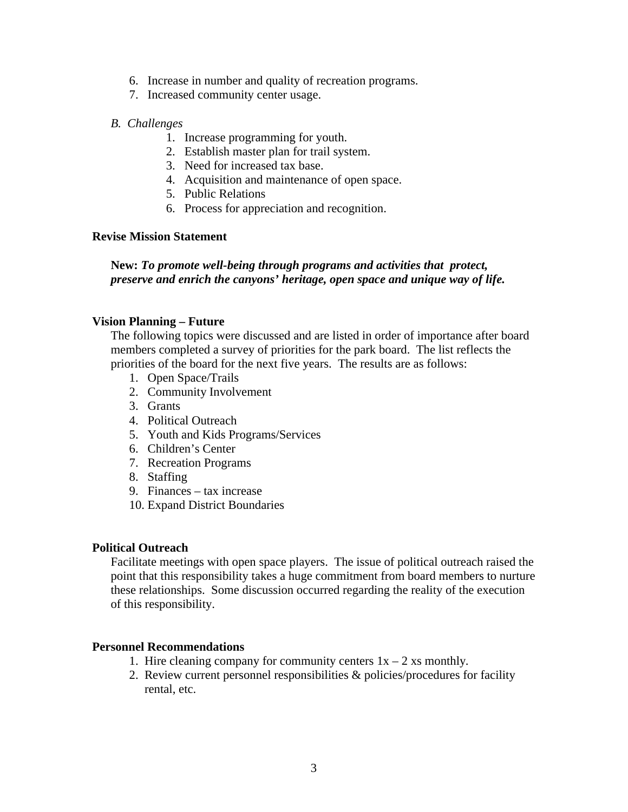- 6. Increase in number and quality of recreation programs.
- 7. Increased community center usage.

# *B. Challenges*

- 1. Increase programming for youth.
- 2. Establish master plan for trail system.
- 3. Need for increased tax base.
- 4. Acquisition and maintenance of open space.
- 5. Public Relations
- 6. Process for appreciation and recognition.

# **Revise Mission Statement**

# **New:** *To promote well-being through programs and activities that protect, preserve and enrich the canyons' heritage, open space and unique way of life.*

# **Vision Planning – Future**

The following topics were discussed and are listed in order of importance after board members completed a survey of priorities for the park board. The list reflects the priorities of the board for the next five years. The results are as follows:

- 1. Open Space/Trails
- 2. Community Involvement
- 3. Grants
- 4. Political Outreach
- 5. Youth and Kids Programs/Services
- 6. Children's Center
- 7. Recreation Programs
- 8. Staffing
- 9. Finances tax increase
- 10. Expand District Boundaries

# **Political Outreach**

Facilitate meetings with open space players. The issue of political outreach raised the point that this responsibility takes a huge commitment from board members to nurture these relationships. Some discussion occurred regarding the reality of the execution of this responsibility.

# **Personnel Recommendations**

- 1. Hire cleaning company for community centers  $1x 2$  xs monthly.
- 2. Review current personnel responsibilities & policies/procedures for facility rental, etc.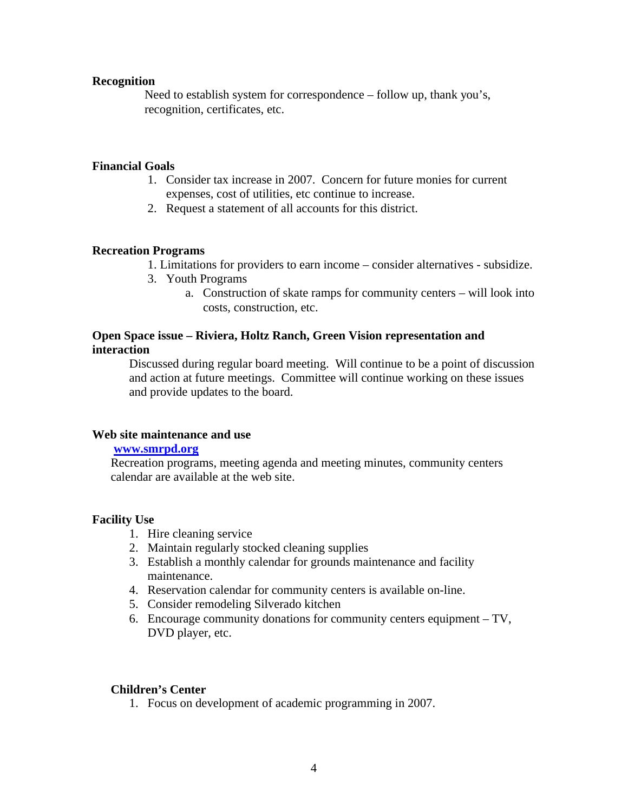### **Recognition**

Need to establish system for correspondence – follow up, thank you's, recognition, certificates, etc.

## **Financial Goals**

- 1. Consider tax increase in 2007. Concern for future monies for current expenses, cost of utilities, etc continue to increase.
- 2. Request a statement of all accounts for this district.

# **Recreation Programs**

- 1. Limitations for providers to earn income consider alternatives subsidize.
- 3. Youth Programs
	- a. Construction of skate ramps for community centers will look into costs, construction, etc.

# **Open Space issue – Riviera, Holtz Ranch, Green Vision representation and interaction**

Discussed during regular board meeting. Will continue to be a point of discussion and action at future meetings. Committee will continue working on these issues and provide updates to the board.

### **Web site maintenance and use**

#### **www.smrpd.org**

Recreation programs, meeting agenda and meeting minutes, community centers calendar are available at the web site.

#### **Facility Use**

- 1. Hire cleaning service
- 2. Maintain regularly stocked cleaning supplies
- 3. Establish a monthly calendar for grounds maintenance and facility maintenance.
- 4. Reservation calendar for community centers is available on-line.
- 5. Consider remodeling Silverado kitchen
- 6. Encourage community donations for community centers equipment TV, DVD player, etc.

### **Children's Center**

1. Focus on development of academic programming in 2007.